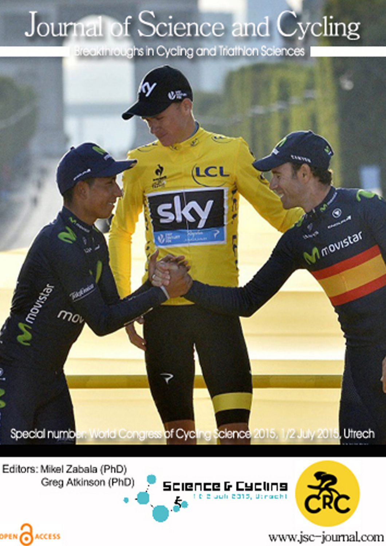# Journal of Science and Cycling

Breakthroughs in Cycling and Triathlon Sciences



Editors: Mikel Zabala (PhD) Greg Atkinson (PhD)

OPEN CACCESS





www.jsc-journal.com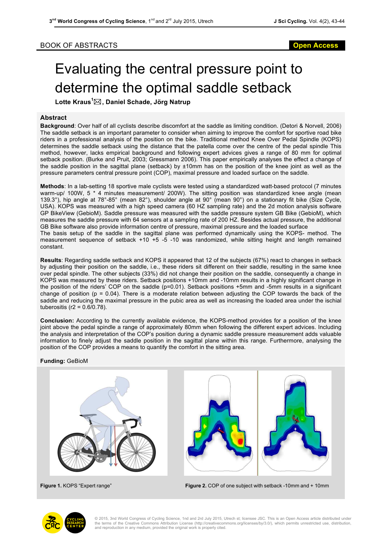### BOOK OF ABSTRACTS **Open Access**

## Evaluating the central pressure point to determine the optimal saddle setback

**Lotte Kraus<sup>1</sup>** \***, Daniel Schade, Jörg Natrup**

### **Abstract**

**Background**: Over half of all cyclists describe discomfort at the saddle as limiting condition. (Detori & Norvell, 2006) The saddle setback is an important parameter to consider when aiming to improve the comfort for sportive road bike riders in a professional analysis of the position on the bike. Traditional method Knee Over Pedal Spindle (KOPS) determines the saddle setback using the distance that the patella come over the centre of the pedal spindle This method, however, lacks empirical background and following expert advices gives a range of 80 mm for optimal setback position. (Burke and Pruit, 2003; Gressmann 2006). This paper empirically analyses the effect a change of the saddle position in the sagittal plane (setback) by ±10mm has on the position of the knee joint as well as the pressure parameters central pressure point (COP), maximal pressure and loaded surface on the saddle.

**Methods**: In a lab-setting 18 sportive male cyclists were tested using a standardized watt-based protocol (7 minutes warm-up/ 100W, 5 \* 4 minutes measurement/ 200W). The sitting position was standardized knee angle (mean 139.3°), hip angle at 78°-85° (mean 82°), shoulder angle at 90° (mean 90°) on a stationary fit bike (Size Cycle, USA). KOPS was measured with a high speed camera (60 HZ sampling rate) and the 2d motion analysis software GP BikeView (GebioM). Saddle pressure was measured with the saddle pressure system GB Bike (GebioM), which measures the saddle pressure with 64 sensors at a sampling rate of 200 HZ. Besides actual pressure, the additional GB Bike software also provide information centre of pressure, maximal pressure and the loaded surface

The basis setup of the saddle in the sagittal plane was performed dynamically using the KOPS- method. The measurement sequence of setback +10 +5 -5 -10 was randomized, while sitting height and length remained constant.

**Results**: Regarding saddle setback and KOPS it appeared that 12 of the subjects (67%) react to changes in setback by adjusting their position on the saddle, i.e., these riders sit different on their saddle, resulting in the same knee over pedal spindle. The other subjects (33%) did not change their position on the saddle, consequently a change in KOPS was measured by these riders. Setback positions +10mm and -10mm results in a highly significant change in the position of the riders' COP on the saddle (p=0.01). Setback positions +5mm and -5mm results in a significant change of position ( $p = 0.04$ ). There is a moderate relation between adjusting the COP towards the back of the saddle and reducing the maximal pressure in the pubic area as well as increasing the loaded area under the ischial tuberositis (r2 = 0.6/0.78).

**Conclusion:** According to the currently available evidence, the KOPS-method provides for a position of the knee joint above the pedal spindle a range of approximately 80mm when following the different expert advices. Including the analysis and interpretation of the COP's position during a dynamic saddle pressure measurement adds valuable information to finely adjust the saddle position in the sagittal plane within this range. Furthermore, analysing the position of the COP provides a means to quantify the comfort in the sitting area.

#### **Funding:** GeBioM





**Figure 1.** KOPS "Expert range" **Figure 2.** COP of one subject with setback -10mm and + 10mm



© 2015, 3nd World Congress of Cycling Science, 1nd and 2rd July 2015, Utrech st; licensee JSC. This is an Open Access article distributed under the terms of the Creative Commons Attribution License (http://creativecommons.org/licenses/by/3.0/), which permits unrestricted use, distribution, and reproduction in any medium, provided the original work is properly cited.